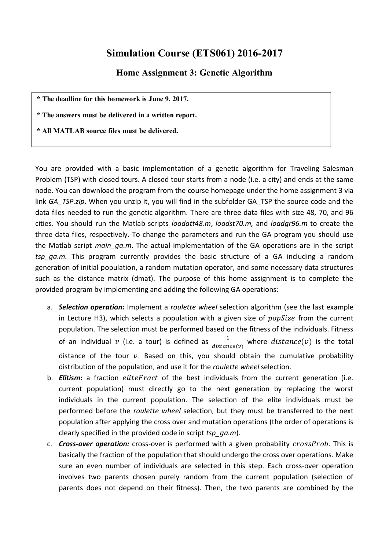## **Simulation Course (ETS061) 2016-2017**

## **Home Assignment 3: Genetic Algorithm**

**\* The deadline for this homework is June 9, 2017.**

**\* The answers must be delivered in a written report.**

**\* All MATLAB source files must be delivered.**

You are provided with a basic implementation of a genetic algorithm for Traveling Salesman Problem (TSP) with closed tours. A closed tour starts from a node (i.e. a city) and ends at the same node. You can download the program from the course homepage under the home assignment 3 via link *GA\_TSP.zip*. When you unzip it, you will find in the subfolder GA\_TSP the source code and the data files needed to run the genetic algorithm. There are three data files with size 48, 70, and 96 cities. You should run the Matlab scripts *loadatt48.m*, *loadst70.m,* and *loadgr96.m* to create the three data files, respectively. To change the parameters and run the GA program you should use the Matlab script *main\_ga.m*. The actual implementation of the GA operations are in the script *tsp\_ga.m.* This program currently provides the basic structure of a GA including a random generation of initial population, a random mutation operator, and some necessary data structures such as the distance matrix (dmat). The purpose of this home assignment is to complete the provided program by implementing and adding the following GA operations:

- a. *Selection operation:* Implement a *roulette wheel* selection algorithm (see the last example in Lecture H3), which selects a population with a given size of  $popSize$  from the current population. The selection must be performed based on the fitness of the individuals. Fitness of an individual  $\nu$  (i.e. a tour) is defined as  $\frac{1}{distance(\nu)}$  where  $distance(\nu)$  is the total distance of the tour  $v$ . Based on this, you should obtain the cumulative probability distribution of the population, and use it for the *roulette wheel* selection.
- b. **Elitism:** a fraction *eliteFract* of the best individuals from the current generation (i.e. current population) must directly go to the next generation by replacing the worst individuals in the current population. The selection of the elite individuals must be performed before the *roulette wheel* selection, but they must be transferred to the next population after applying the cross over and mutation operations (the order of operations is clearly specified in the provided code in script *tsp\_ga.m*).
- c. **Cross-over operation:** cross-over is performed with a given probability crossProb. This is basically the fraction of the population that should undergo the cross over operations. Make sure an even number of individuals are selected in this step. Each cross-over operation involves two parents chosen purely random from the current population (selection of parents does not depend on their fitness). Then, the two parents are combined by the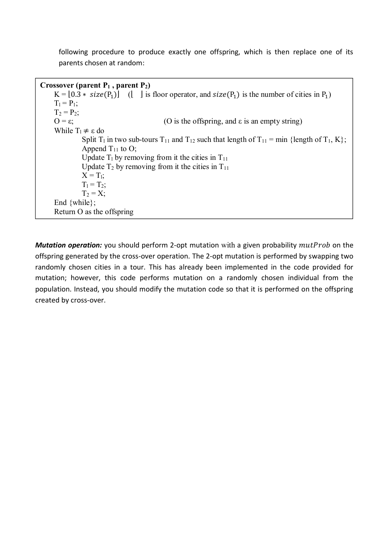following procedure to produce exactly one offspring, which is then replace one of its parents chosen at random:

```
Crossover (parent P1 , parent P2)
K = [0.3 * size(P_1)] (| | is floor operator, and size(P_1) is the number of cities in P<sub>1</sub>)
T_1 = P_1;T_2 = P_2;
O = \varepsilon; (O is the offspring, and \varepsilon is an empty string)
While T_1 \neq \varepsilon do
          Split T_1 in two sub-tours T_{11} and T_{12} such that length of T_{11} = \min \{ \text{length of } T_1, K \};Append T_{11} to O;
          Update T_1 by removing from it the cities in T_{11}Update T_2 by removing from it the cities in T_{11}X = T_1;
          T_1 = T_2;
          T_2 = X;End {while};
Return O as the offspring
```
*Mutation operation:* you should perform 2-opt mutation with a given probability *mutProb* on the offspring generated by the cross-over operation. The 2-opt mutation is performed by swapping two randomly chosen cities in a tour. This has already been implemented in the code provided for mutation; however, this code performs mutation on a randomly chosen individual from the population. Instead, you should modify the mutation code so that it is performed on the offspring created by cross-over.